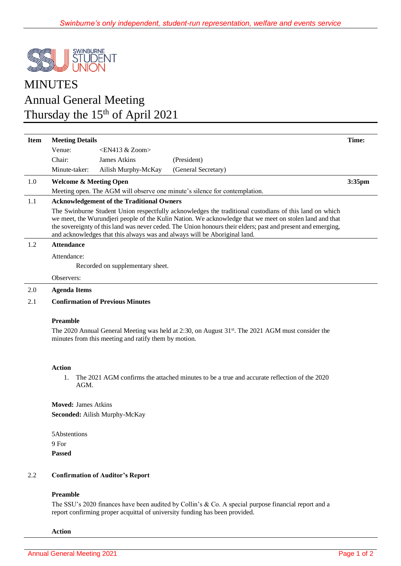

## **MINUTES** Annual General Meeting Thursday the 15<sup>th</sup> of April 2021

| <b>Item</b> | <b>Meeting Details</b>            |                                                  |                                                                                                                                                                                                                                                                                                                                                                                                                | Time:  |
|-------------|-----------------------------------|--------------------------------------------------|----------------------------------------------------------------------------------------------------------------------------------------------------------------------------------------------------------------------------------------------------------------------------------------------------------------------------------------------------------------------------------------------------------------|--------|
|             | Venue:                            | $\leq$ EN413 & Zoom>                             |                                                                                                                                                                                                                                                                                                                                                                                                                |        |
|             | Chair:                            | <b>James Atkins</b>                              | (President)                                                                                                                                                                                                                                                                                                                                                                                                    |        |
|             | Minute-taker:                     | Ailish Murphy-McKay                              | (General Secretary)                                                                                                                                                                                                                                                                                                                                                                                            |        |
| 1.0         | <b>Welcome &amp; Meeting Open</b> |                                                  |                                                                                                                                                                                                                                                                                                                                                                                                                | 3:35pm |
|             |                                   |                                                  | Meeting open. The AGM will observe one minute's silence for contemplation.                                                                                                                                                                                                                                                                                                                                     |        |
| 1.1         |                                   | <b>Acknowledgement of the Traditional Owners</b> |                                                                                                                                                                                                                                                                                                                                                                                                                |        |
|             |                                   |                                                  | The Swinburne Student Union respectfully acknowledges the traditional custodians of this land on which<br>we meet, the Wurundjeri people of the Kulin Nation. We acknowledge that we meet on stolen land and that<br>the sovereignty of this land was never ceded. The Union honours their elders; past and present and emerging,<br>and acknowledges that this always was and always will be Aboriginal land. |        |
| 1.2         | <b>Attendance</b>                 |                                                  |                                                                                                                                                                                                                                                                                                                                                                                                                |        |
|             | Attendance:                       |                                                  |                                                                                                                                                                                                                                                                                                                                                                                                                |        |
|             |                                   | Recorded on supplementary sheet.                 |                                                                                                                                                                                                                                                                                                                                                                                                                |        |
|             | Observers:                        |                                                  |                                                                                                                                                                                                                                                                                                                                                                                                                |        |
| 2.0         | <b>Agenda Items</b>               |                                                  |                                                                                                                                                                                                                                                                                                                                                                                                                |        |
| 2.1         |                                   | <b>Confirmation of Previous Minutes</b>          |                                                                                                                                                                                                                                                                                                                                                                                                                |        |
|             | <b>Preamble</b>                   |                                                  |                                                                                                                                                                                                                                                                                                                                                                                                                |        |

The 2020 Annual General Meeting was held at 2:30, on August 31<sup>st</sup>. The 2021 AGM must consider the minutes from this meeting and ratify them by motion.

## **Action**

1. The 2021 AGM confirms the attached minutes to be a true and accurate reflection of the 2020 AGM.

**Moved:** James Atkins **Seconded:** Ailish Murphy-McKay

5Abstentions 9 For **Passed**

## 2.2 **Confirmation of Auditor's Report**

## **Preamble**

The SSU's 2020 finances have been audited by Collin's & Co. A special purpose financial report and a report confirming proper acquittal of university funding has been provided.

**Action**